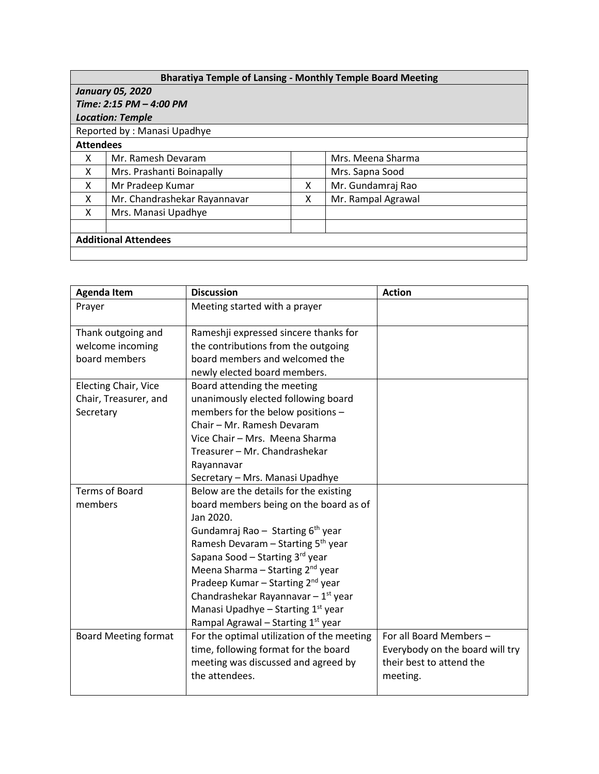| <b>Bharatiya Temple of Lansing - Monthly Temple Board Meeting</b> |                              |   |                    |  |  |  |
|-------------------------------------------------------------------|------------------------------|---|--------------------|--|--|--|
| <b>January 05, 2020</b>                                           |                              |   |                    |  |  |  |
| Time: 2:15 PM - 4:00 PM                                           |                              |   |                    |  |  |  |
| <b>Location: Temple</b>                                           |                              |   |                    |  |  |  |
| Reported by: Manasi Upadhye                                       |                              |   |                    |  |  |  |
| <b>Attendees</b>                                                  |                              |   |                    |  |  |  |
| x                                                                 | Mr. Ramesh Devaram           |   | Mrs. Meena Sharma  |  |  |  |
| X                                                                 | Mrs. Prashanti Boinapally    |   | Mrs. Sapna Sood    |  |  |  |
| x                                                                 | Mr Pradeep Kumar             | x | Mr. Gundamraj Rao  |  |  |  |
| X                                                                 | Mr. Chandrashekar Rayannavar | x | Mr. Rampal Agrawal |  |  |  |
| x                                                                 | Mrs. Manasi Upadhye          |   |                    |  |  |  |
|                                                                   |                              |   |                    |  |  |  |
| <b>Additional Attendees</b>                                       |                              |   |                    |  |  |  |
|                                                                   |                              |   |                    |  |  |  |

| <b>Agenda Item</b>          | <b>Discussion</b>                                | <b>Action</b>                   |
|-----------------------------|--------------------------------------------------|---------------------------------|
| Prayer                      | Meeting started with a prayer                    |                                 |
| Thank outgoing and          | Rameshji expressed sincere thanks for            |                                 |
| welcome incoming            | the contributions from the outgoing              |                                 |
| board members               | board members and welcomed the                   |                                 |
|                             | newly elected board members.                     |                                 |
| Electing Chair, Vice        | Board attending the meeting                      |                                 |
| Chair, Treasurer, and       | unanimously elected following board              |                                 |
| Secretary                   | members for the below positions -                |                                 |
|                             | Chair - Mr. Ramesh Devaram                       |                                 |
|                             | Vice Chair - Mrs. Meena Sharma                   |                                 |
|                             | Treasurer - Mr. Chandrashekar                    |                                 |
|                             | Rayannavar                                       |                                 |
|                             | Secretary - Mrs. Manasi Upadhye                  |                                 |
| <b>Terms of Board</b>       | Below are the details for the existing           |                                 |
| members                     | board members being on the board as of           |                                 |
|                             | Jan 2020.                                        |                                 |
|                             | Gundamraj Rao - Starting $6th$ year              |                                 |
|                             | Ramesh Devaram - Starting 5 <sup>th</sup> year   |                                 |
|                             | Sapana Sood - Starting 3rd year                  |                                 |
|                             | Meena Sharma – Starting $2^{nd}$ year            |                                 |
|                             | Pradeep Kumar - Starting 2 <sup>nd</sup> year    |                                 |
|                             | Chandrashekar Rayannavar $-1$ <sup>st</sup> year |                                 |
|                             | Manasi Upadhye - Starting 1st year               |                                 |
|                             | Rampal Agrawal - Starting 1 <sup>st</sup> year   |                                 |
| <b>Board Meeting format</b> | For the optimal utilization of the meeting       | For all Board Members -         |
|                             | time, following format for the board             | Everybody on the board will try |
|                             | meeting was discussed and agreed by              | their best to attend the        |
|                             | the attendees.                                   | meeting.                        |
|                             |                                                  |                                 |